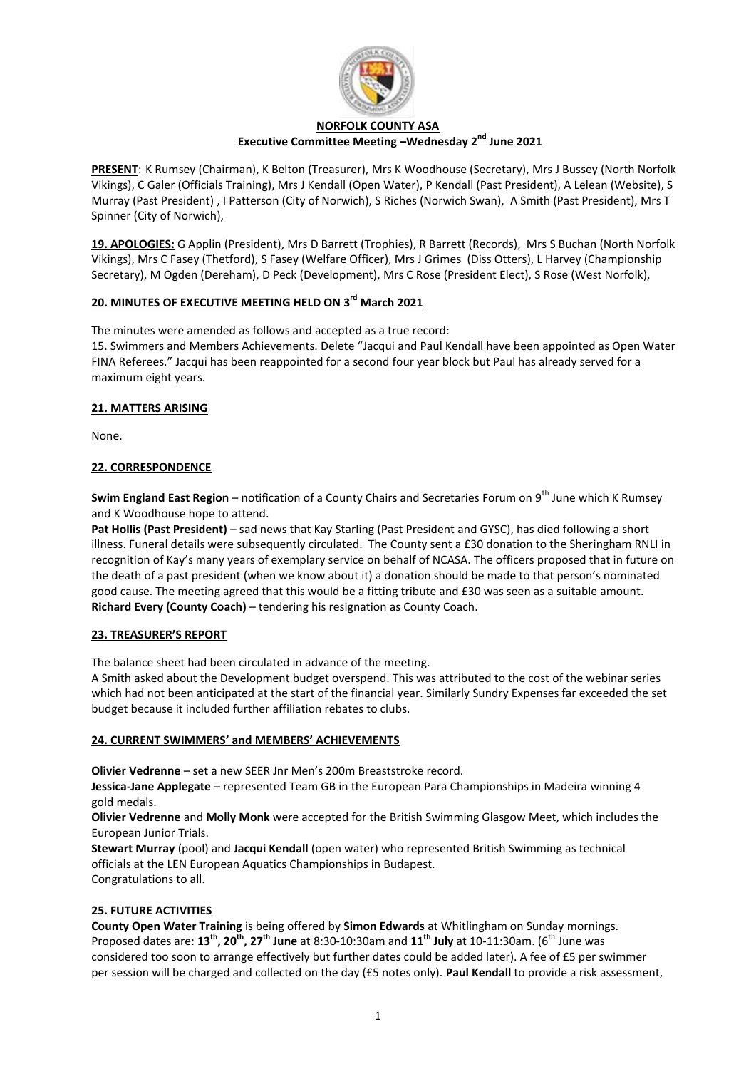

#### **NORFOLK COUNTY ASA Executive Committee Meeting –Wednesday 2 nd June 2021**

**PRESENT**: K Rumsey (Chairman), K Belton (Treasurer), Mrs K Woodhouse (Secretary), Mrs J Bussey (North Norfolk Vikings), C Galer (Officials Training), Mrs J Kendall (Open Water), P Kendall (Past President), A Lelean (Website), S Murray (Past President) , I Patterson (City of Norwich), S Riches (Norwich Swan), A Smith (Past President), Mrs T Spinner (City of Norwich),

**19. APOLOGIES:** G Applin (President), Mrs D Barrett (Trophies), R Barrett (Records), Mrs S Buchan (North Norfolk Vikings), Mrs C Fasey (Thetford), S Fasey (Welfare Officer), Mrs J Grimes (Diss Otters), L Harvey (Championship Secretary), M Ogden (Dereham), D Peck (Development), Mrs C Rose (President Elect), S Rose (West Norfolk),

# **20. MINUTES OF EXECUTIVE MEETING HELD ON 3<sup>rd</sup> March 2021**

The minutes were amended as follows and accepted as a true record:

15. Swimmers and Members Achievements. Delete "Jacqui and Paul Kendall have been appointed as Open Water FINA Referees." Jacqui has been reappointed for a second four year block but Paul has already served for a maximum eight years.

## **21. MATTERS ARISING**

None.

## **22. CORRESPONDENCE**

**Swim England East Region** – notification of a County Chairs and Secretaries Forum on 9<sup>th</sup> June which K Rumsey and K Woodhouse hope to attend.

**Pat Hollis (Past President)** – sad news that Kay Starling (Past President and GYSC), has died following a short illness. Funeral details were subsequently circulated. The County sent a £30 donation to the Sheringham RNLI in recognition of Kay's many years of exemplary service on behalf of NCASA. The officers proposed that in future on the death of a past president (when we know about it) a donation should be made to that person's nominated good cause. The meeting agreed that this would be a fitting tribute and £30 was seen as a suitable amount. **Richard Every (County Coach)** – tendering his resignation as County Coach.

## **23. TREASURER'S REPORT**

The balance sheet had been circulated in advance of the meeting.

A Smith asked about the Development budget overspend. This was attributed to the cost of the webinar series which had not been anticipated at the start of the financial year. Similarly Sundry Expenses far exceeded the set budget because it included further affiliation rebates to clubs.

## **24. CURRENT SWIMMERS' and MEMBERS' ACHIEVEMENTS**

**Olivier Vedrenne** – set a new SEER Jnr Men's 200m Breaststroke record.

**Jessica-Jane Applegate** – represented Team GB in the European Para Championships in Madeira winning 4 gold medals.

**Olivier Vedrenne** and **Molly Monk** were accepted for the British Swimming Glasgow Meet, which includes the European Junior Trials.

**Stewart Murray** (pool) and **Jacqui Kendall** (open water) who represented British Swimming as technical officials at the LEN European Aquatics Championships in Budapest. Congratulations to all.

## **25. FUTURE ACTIVITIES**

**County Open Water Training** is being offered by **Simon Edwards** at Whitlingham on Sunday mornings. Proposed dates are: **13th, 20th, 27th June** at 8:30-10:30am and **11th July** at 10-11:30am. (6th June was considered too soon to arrange effectively but further dates could be added later). A fee of £5 per swimmer per session will be charged and collected on the day (£5 notes only). **Paul Kendall** to provide a risk assessment,